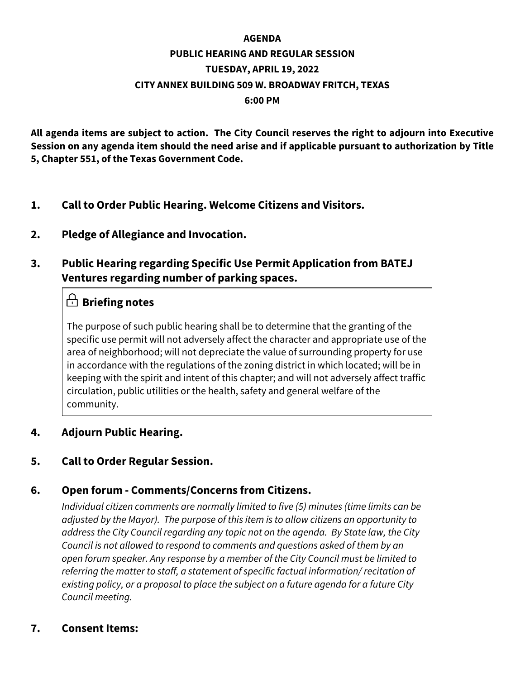### **AGENDA PUBLIC HEARING AND REGULAR SESSION TUESDAY, APRIL 19, 2022 CITY ANNEX BUILDING 509 W. BROADWAY FRITCH, TEXAS 6:00 PM**

**All agenda items are subject to action. The City Council reserves the right to adjourn into Executive Session on any agenda item should the need arise and if applicable pursuant to authorization by Title 5, Chapter 551, of the Texas Government Code.**

- **1. Call to Order Public Hearing. Welcome Citizens and Visitors.**
- **2. Pledge of Allegiance and Invocation.**

### **3. Public Hearing regarding Specific Use Permit Application from BATEJ Ventures regarding number of parking spaces.**

### **Briefing notes**

The purpose of such public hearing shall be to determine that the granting of the specific use permit will not adversely affect the character and appropriate use of the area of neighborhood; will not depreciate the value of surrounding property for use in accordance with the regulations of the zoning district in which located; will be in keeping with the spirit and intent of this chapter; and will not adversely affect traffic circulation, public utilities or the health, safety and general welfare of the community.

### **4. Adjourn Public Hearing.**

### **5. Call to Order Regular Session.**

#### **6. Open forum - Comments/Concerns from Citizens.**

*Individual citizen comments are normally limited to five (5) minutes (time limits can be adjusted by the Mayor). The purpose of this item is to allow citizens an opportunity to address the City Council regarding any topic not on the agenda. By State law, the City Council is not allowed to respond to comments and questions asked of them by an open forum speaker. Any response by a member of the City Council must be limited to referring the matter to staff, a statement of specific factual information/ recitation of existing policy, or a proposal to place the subject on a future agenda for a future City Council meeting.*

#### **7. Consent Items:**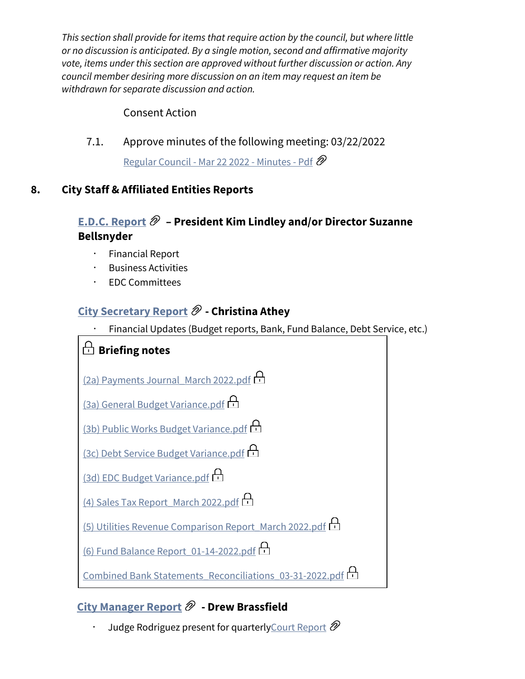*This section shall provide for items that require action by the council, but where little or no discussion is anticipated. By a single motion, second and affirmative majority vote, items under this section are approved without further discussion or action. Any council member desiring more discussion on an item may request an item be withdrawn for separate discussion and action.*

#### Consent Action

7.1. Approve minutes of the following meeting: 03/22/2022

[Regular Council - Mar 22 2022 - Minutes - Pdf](https://fritchcityhall.communitybydiligent.com/document/f83d90e7-3dd3-4cf4-aacc-57f0e27bd26d) @

### **8. City Staff & Affiliated Entities Reports**

### **[E.D.C. Report](https://fritchcityhall.communitybydiligent.com/document/67ca9ba3-1e1b-4a5a-b3c3-21c4802708f5) – President Kim Lindley and/or Director Suzanne Bellsnyder**

- · Financial Report
- · Business Activities
- · EDC Committees

### **[City Secretary Report](https://fritchcityhall.communitybydiligent.com/document/84ab3b97-6fdf-4fe9-ad95-98d85c1e04fc)**  $\mathscr{D}$  **- Christina Athey**

Financial Updates (Budget reports, Bank, Fund Balance, Debt Service, etc.)



## **[City Manager Report](https://fritchcityhall.communitybydiligent.com/document/27adecd6-097d-4f7d-bfea-d4729f1accf5)**  $\mathscr{D}$  **- Drew Brassfield**

Judge Rodriguez present for quarterly Court Report  $\mathscr{D}$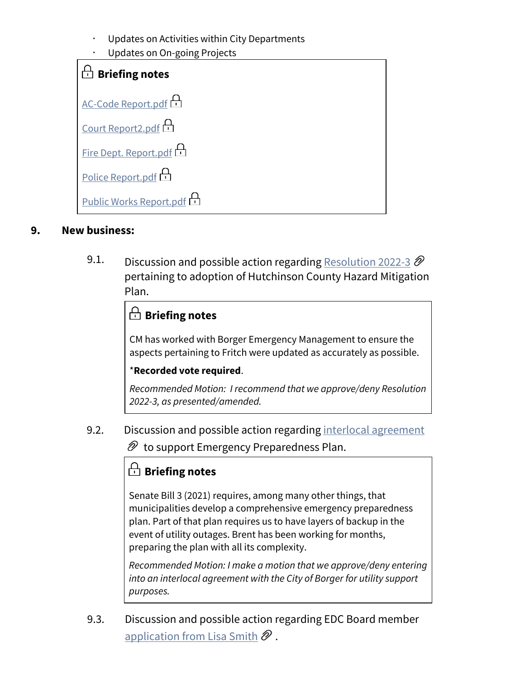- Updates on Activities within City Departments
- Updates on On-going Projects

| $\Box$ Briefing notes     |
|---------------------------|
| <u>AC-Code Report.pdf</u> |
| Court Report2.pdf         |
| Fire Dept. Report.pdf     |
| <u>Police Report.pdf</u>  |
| Public Works Report.pdf   |

#### **9. New business:**

9.1. Discussion and possible action regarding [Resolution 2022-3](https://fritchcityhall.communitybydiligent.com/document/55be243c-64af-4d43-b06e-feb91df86eb8)  $\mathscr{D}$ pertaining to adoption of Hutchinson County Hazard Mitigation Plan.

## **Briefing notes**

CM has worked with Borger Emergency Management to ensure the aspects pertaining to Fritch were updated as accurately as possible.

#### \***Recorded vote required**.

*Recommended Motion: I recommend that we approve/deny Resolution 2022-3, as presented/amended.*

9.2. Discussion and possible action regarding [interlocal agreement](https://fritchcityhall.communitybydiligent.com/document/3b7b533e-0206-44f4-a3cc-075b92b62b71)

 $\mathscr{D}$  to support Emergency Preparedness Plan.

## **Briefing notes**

Senate Bill 3 (2021) requires, among many other things, that municipalities develop a comprehensive emergency preparedness plan. Part of that plan requires us to have layers of backup in the event of utility outages. Brent has been working for months, preparing the plan with all its complexity.

*Recommended Motion: I make a motion that we approve/deny entering into an interlocal agreement with the City of Borger for utility support purposes.*

9.3. Discussion and possible action regarding EDC Board member [application from Lisa Smith](https://fritchcityhall.communitybydiligent.com/document/71cc1530-b656-4a80-b89b-86313cca97ef)  $\mathscr{D}$ .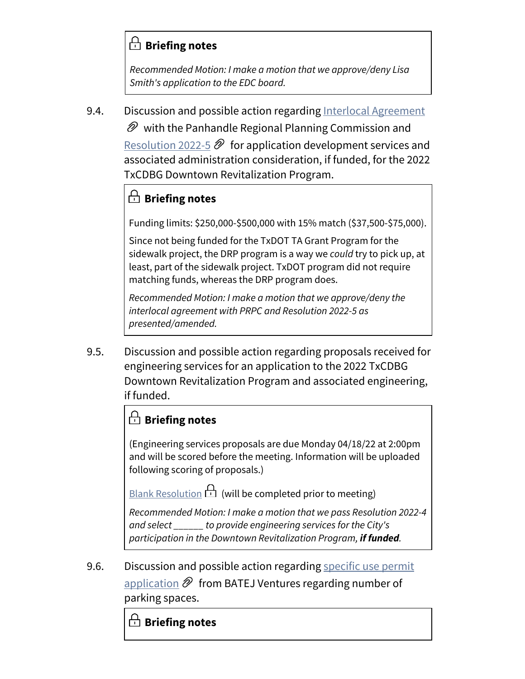## **Briefing notes**

*Recommended Motion: I make a motion that we approve/deny Lisa Smith's application to the EDC board.*

9.4. Discussion and possible action regarding [Interlocal Agreement](https://fritchcityhall.communitybydiligent.com/document/973e05a7-8e18-4575-b31d-ec8856ffbbf8)

 $\mathscr{D}$  with the Panhandle Regional Planning Commission and [Resolution 2022-5](https://fritchcityhall.communitybydiligent.com/document/d3e05434-b4b7-4ff0-ad60-9cbc119fe6e9)  $\mathscr{D}$  for application development services and associated administration consideration, if funded, for the 2022 TxCDBG Downtown Revitalization Program.

# **Briefing notes**

Funding limits: \$250,000-\$500,000 with 15% match (\$37,500-\$75,000).

Since not being funded for the TxDOT TA Grant Program for the sidewalk project, the DRP program is a way we *could* try to pick up, at least, part of the sidewalk project. TxDOT program did not require matching funds, whereas the DRP program does.

*Recommended Motion: I make a motion that we approve/deny the interlocal agreement with PRPC and Resolution 2022-5 as presented/amended.*

9.5. Discussion and possible action regarding proposals received for engineering services for an application to the 2022 TxCDBG Downtown Revitalization Program and associated engineering, if funded.

## **Briefing notes**

(Engineering services proposals are due Monday 04/18/22 at 2:00pm and will be scored before the meeting. Information will be uploaded following scoring of proposals.)

[Blank Resolution](https://fritchcityhall.communitybydiligent.com/document/97fedf78-838e-475c-84da-c01acd7f0bc3)  $\bigoplus$  (will be completed prior to meeting)

*Recommended Motion: I make a motion that we pass Resolution 2022-4 and select \_\_\_\_\_\_ to provide engineering services for the City's participation in the Downtown Revitalization Program, if funded.*

9.6. Discussion and possible action regarding specific use permit [application](https://fritchcityhall.communitybydiligent.com/document/475d90e6-7440-4320-847e-84b2cec515c0)  $\mathscr{D}$  from BATEJ Ventures regarding number of parking spaces.

# **Briefing notes**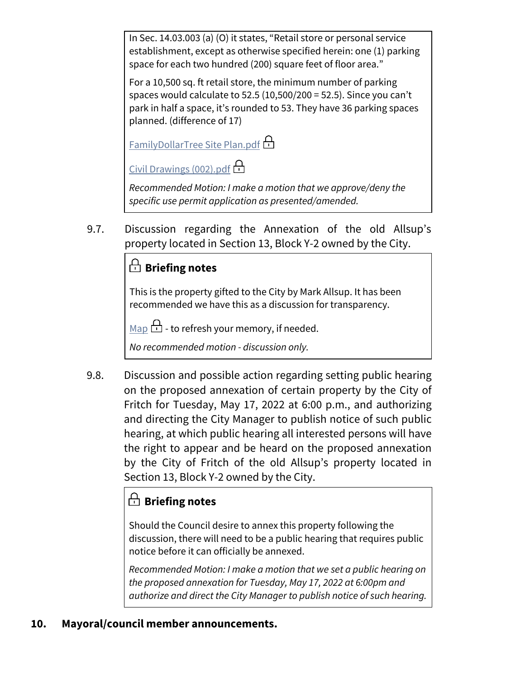In Sec. 14.03.003 (a) (O) it states, "Retail store or personal service establishment, except as otherwise specified herein: one (1) parking space for each two hundred (200) square feet of floor area."

For a 10,500 sq. ft retail store, the minimum number of parking spaces would calculate to 52.5 (10,500/200 = 52.5). Since you can't park in half a space, it's rounded to 53. They have 36 parking spaces planned. (difference of 17)

[FamilyDollarTree Site Plan.pdf](https://fritchcityhall.communitybydiligent.com/document/1c5d7750-feb8-4d25-b1ab-93514a280656)

[Civil Drawings \(002\).pdf](https://fritchcityhall.communitybydiligent.com/document/16792c07-2702-4a7d-8e04-8ba4788a8d47)

*Recommended Motion: I make a motion that we approve/deny the specific use permit application as presented/amended.*

9.7. Discussion regarding the Annexation of the old Allsup's property located in Section 13, Block Y-2 owned by the City.

# **Briefing notes**

This is the property gifted to the City by Mark Allsup. It has been recommended we have this as a discussion for transparency.

[Map](https://fritchcityhall.communitybydiligent.com/document/6a8d033a-0ef5-495e-ac1a-3294f01f6777)  $\Box$  - to refresh your memory, if needed.

*No recommended motion - discussion only.*

9.8. Discussion and possible action regarding setting public hearing on the proposed annexation of certain property by the City of Fritch for Tuesday, May 17, 2022 at 6:00 p.m., and authorizing and directing the City Manager to publish notice of such public hearing, at which public hearing all interested persons will have the right to appear and be heard on the proposed annexation by the City of Fritch of the old Allsup's property located in Section 13, Block Y-2 owned by the City.

# **Briefing notes**

Should the Council desire to annex this property following the discussion, there will need to be a public hearing that requires public notice before it can officially be annexed.

*Recommended Motion: I make a motion that we set a public hearing on the proposed annexation for Tuesday, May 17, 2022 at 6:00pm and authorize and direct the City Manager to publish notice of such hearing.*

### **10. Mayoral/council member announcements.**